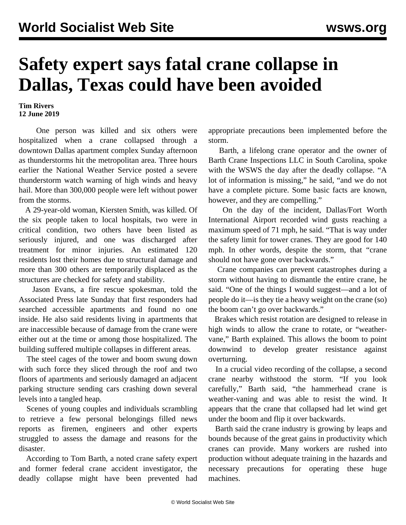## **Safety expert says fatal crane collapse in Dallas, Texas could have been avoided**

**Tim Rivers 12 June 2019**

 One person was killed and six others were hospitalized when a crane collapsed through a downtown Dallas apartment complex Sunday afternoon as thunderstorms hit the metropolitan area. Three hours earlier the National Weather Service posted a severe thunderstorm watch warning of high winds and heavy hail. More than 300,000 people were left without power from the storms.

 A 29-year-old woman, Kiersten Smith, was killed. Of the six people taken to local hospitals, two were in critical condition, two others have been listed as seriously injured, and one was discharged after treatment for minor injuries. An estimated 120 residents lost their homes due to structural damage and more than 300 others are temporarily displaced as the structures are checked for safety and stability.

 Jason Evans, a fire rescue spokesman, told the Associated Press late Sunday that first responders had searched accessible apartments and found no one inside. He also said residents living in apartments that are inaccessible because of damage from the crane were either out at the time or among those hospitalized. The building suffered multiple collapses in different areas.

 The steel cages of the tower and boom swung down with such force they sliced through the roof and two floors of apartments and seriously damaged an adjacent parking structure sending cars crashing down several levels into a tangled heap.

 Scenes of young couples and individuals scrambling to retrieve a few personal belongings filled news reports as firemen, engineers and other experts struggled to assess the damage and reasons for the disaster.

 According to Tom Barth, a noted crane safety expert and former federal crane accident investigator, the deadly collapse might have been prevented had appropriate precautions been implemented before the storm.

 Barth, a lifelong crane operator and the owner of Barth Crane Inspections LLC in South Carolina, spoke with the WSWS the day after the deadly collapse. "A lot of information is missing," he said, "and we do not have a complete picture. Some basic facts are known, however, and they are compelling."

 On the day of the incident, Dallas/Fort Worth International Airport recorded wind gusts reaching a maximum speed of 71 mph, he said. "That is way under the safety limit for tower cranes. They are good for 140 mph. In other words, despite the storm, that "crane should not have gone over backwards."

 Crane companies can prevent catastrophes during a storm without having to dismantle the entire crane, he said. "One of the things I would suggest—and a lot of people do it—is they tie a heavy weight on the crane (so) the boom can't go over backwards."

 Brakes which resist rotation are designed to release in high winds to allow the crane to rotate, or "weathervane," Barth explained. This allows the boom to point downwind to develop greater resistance against overturning.

 In a [crucial video recording](https://globalnews.ca/news/5371657/dallas-crane-collapse/) of the collapse, a second crane nearby withstood the storm. "If you look carefully," Barth said, "the hammerhead crane is weather-vaning and was able to resist the wind. It appears that the crane that collapsed had let wind get under the boom and flip it over backwards.

 Barth said the crane industry is growing by leaps and bounds because of the great gains in productivity which cranes can provide. Many workers are rushed into production without adequate training in the hazards and necessary precautions for operating these huge machines.